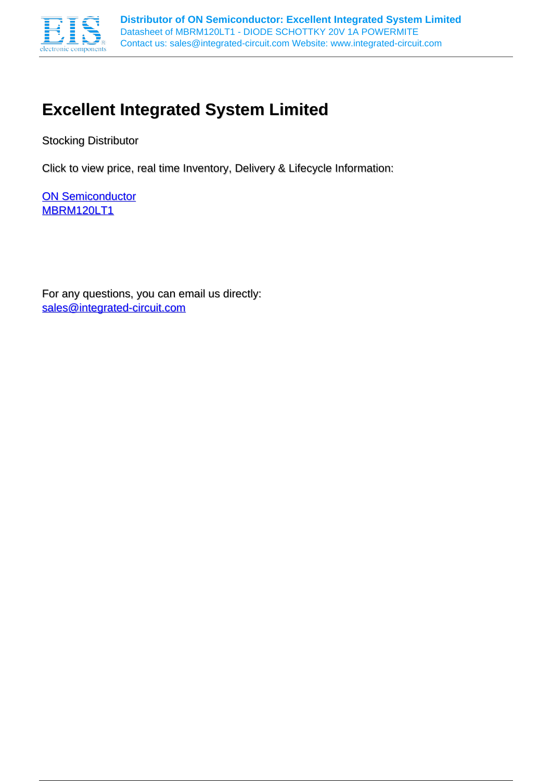

# **Excellent Integrated System Limited**

Stocking Distributor

Click to view price, real time Inventory, Delivery & Lifecycle Information:

**[ON Semiconductor](http://www.integrated-circuit.com/manufacturers/On-Semiconductor.html)** [MBRM120LT1](http://www.integrated-circuit.com/tag/MBRM120LT1.html)

For any questions, you can email us directly: [sales@integrated-circuit.com](mailto:sales@integrated-circuit.com)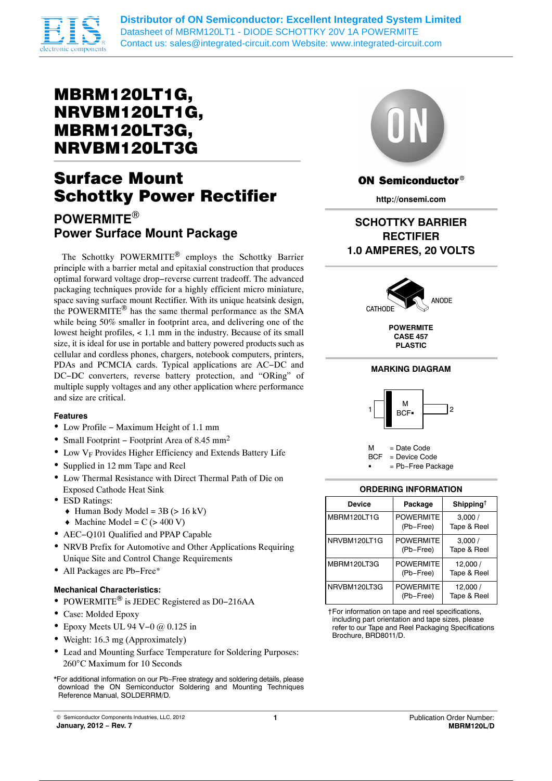

**Distributor of ON Semiconductor: Excellent Integrated System Limited** Datasheet of MBRM120LT1 - DIODE SCHOTTKY 20V 1A POWERMITE Contact us: sales@integrated-circuit.com Website: www.integrated-circuit.com

## MBRM120LT1G, NRVBM120LT1G, MBRM120LT3G, NRVBM120LT3G

# Surface Mount Schottky Power Rectifier

## **POWERMITE Power Surface Mount Package**

The Schottky POWERMITE<sup>®</sup> employs the Schottky Barrier principle with a barrier metal and epitaxial construction that produces optimal forward voltage drop−reverse current tradeoff. The advanced packaging techniques provide for a highly efficient micro miniature, space saving surface mount Rectifier. With its unique heatsink design, the POWERMITE® has the same thermal performance as the SMA while being 50% smaller in footprint area, and delivering one of the lowest height profiles,  $< 1.1$  mm in the industry. Because of its small size, it is ideal for use in portable and battery powered products such as cellular and cordless phones, chargers, notebook computers, printers, PDAs and PCMCIA cards. Typical applications are AC−DC and DC−DC converters, reverse battery protection, and "ORing" of multiple supply voltages and any other application where performance and size are critical.

#### **Features**

- Low Profile − Maximum Height of 1.1 mm
- Small Footprint − Footprint Area of 8.45 mm2
- $\bullet$  Low  $V_F$  Provides Higher Efficiency and Extends Battery Life
- Supplied in 12 mm Tape and Reel
- Low Thermal Resistance with Direct Thermal Path of Die on Exposed Cathode Heat Sink
- ESD Ratings:
	- $\triangleleft$  Human Body Model = 3B (> 16 kV)
	- $\triangleleft$  Machine Model = C (> 400 V)
- AEC−Q101 Qualified and PPAP Capable
- NRVB Prefix for Automotive and Other Applications Requiring Unique Site and Control Change Requirements
- All Packages are Pb−Free\*

#### **Mechanical Characteristics:**

- POWERMITE® is JEDEC Registered as D0-216AA
- Case: Molded Epoxy
- $\bullet$  Epoxy Meets UL 94 V–0 @ 0.125 in
- Weight: 16.3 mg (Approximately)
- Lead and Mounting Surface Temperature for Soldering Purposes: 260°C Maximum for 10 Seconds





### **ON Semiconductor®**

**http://onsemi.com**

## **SCHOTTKY BARRIER RECTIFIER 1.0 AMPERES, 20 VOLTS**



**POWERMITE CASE 457 PLASTIC**

#### **MARKING DIAGRAM**





#### **ORDERING INFORMATION**

| <b>Device</b>      | Package                       | Shipping <sup>†</sup>  |
|--------------------|-------------------------------|------------------------|
| <b>MBRM120LT1G</b> | <b>POWFRMITF</b><br>(Pb-Free) | 3,000/<br>Tape & Reel  |
| NRVBM120LT1G       | <b>POWERMITE</b><br>(Pb-Free) | 3,000/<br>Tape & Reel  |
| MBRM120LT3G        | <b>POWFRMITF</b><br>(Pb-Free) | 12,000/<br>Tape & Reel |
| NRVBM120LT3G       | <b>POWERMITE</b><br>(Pb-Free) | 12,000/<br>Tape & Reel |

†For information on tape and reel specifications, including part orientation and tape sizes, please refer to our Tape and Reel Packaging Specifications Brochure, BRD8011/D.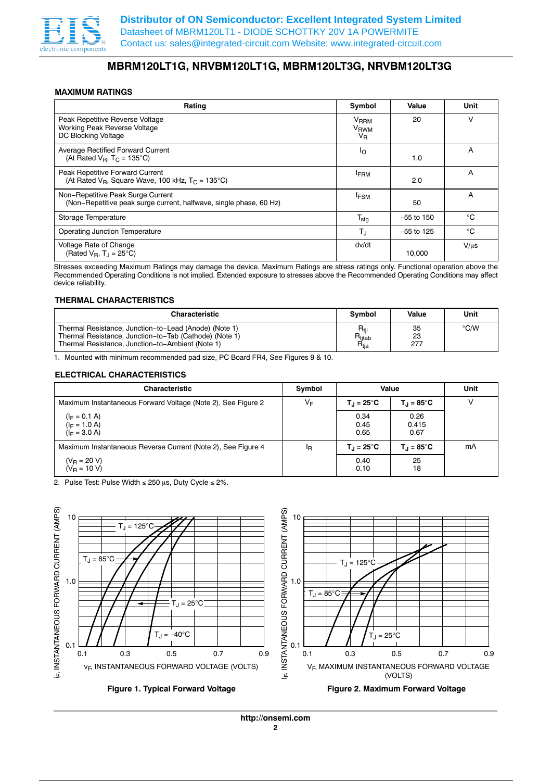

### **MBRM120LT1G, NRVBM120LT1G, MBRM120LT3G, NRVBM120LT3G**

#### **MAXIMUM RATINGS**

| Rating                                                                                                  | Symbol                                                | Value        | Unit      |
|---------------------------------------------------------------------------------------------------------|-------------------------------------------------------|--------------|-----------|
| Peak Repetitive Reverse Voltage<br>Working Peak Reverse Voltage<br>DC Blocking Voltage                  | <b>V<sub>RRM</sub></b><br>V <sub>RWM</sub><br>$V_{R}$ | 20           | v         |
| <b>Average Rectified Forward Current</b><br>(At Rated $V_B$ , $T_C = 135^{\circ}C$ )                    | Ιo                                                    | 1.0          | A         |
| Peak Repetitive Forward Current<br>(At Rated $V_B$ , Square Wave, 100 kHz, $T_C = 135^{\circ}C$ )       | <b>FRM</b>                                            | 2.0          | A         |
| Non-Repetitive Peak Surge Current<br>(Non-Repetitive peak surge current, halfwave, single phase, 60 Hz) | <sup>I</sup> FSM                                      | 50           | A         |
| Storage Temperature                                                                                     | $T_{\text{stg}}$                                      | $-55$ to 150 | °C        |
| <b>Operating Junction Temperature</b>                                                                   | T,                                                    | $-55$ to 125 | °C        |
| Voltage Rate of Change<br>(Rated $V_B$ , $T_A = 25^{\circ}C$ )                                          | dv/dt                                                 | 10.000       | $V/\mu s$ |

Stresses exceeding Maximum Ratings may damage the device. Maximum Ratings are stress ratings only. Functional operation above the Recommended Operating Conditions is not implied. Extended exposure to stresses above the Recommended Operating Conditions may affect device reliability.

#### **THERMAL CHARACTERISTICS**

| <b>Characteristic</b>                                  | <b>Symbol</b>      | Value | Unit          |
|--------------------------------------------------------|--------------------|-------|---------------|
| Thermal Resistance, Junction-to-Lead (Anode) (Note 1)  | $R_{\text{til}}$   | 35    | $\degree$ C/W |
| Thermal Resistance, Junction-to-Tab (Cathode) (Note 1) | $R_{\text{titab}}$ | 23    |               |
| Thermal Resistance, Junction-to-Ambient (Note 1)       | $R_{tia}$          | 277   |               |

1. Mounted with minimum recommended pad size, PC Board FR4, See Figures 9 & 10.

#### **ELECTRICAL CHARACTERISTICS**

| <b>Characteristic</b>                                        | Symbol         | Value                |                               | Unit |
|--------------------------------------------------------------|----------------|----------------------|-------------------------------|------|
| Maximum Instantaneous Forward Voltage (Note 2), See Figure 2 | VF             | $T_{\rm d}$ = 25°C   | $T_{\rm d}$ = 85 $^{\circ}$ C | ν    |
| $(I_F = 0.1 A)$<br>$(I_F = 1.0 A)$<br>$(I_F = 3.0 A)$        |                | 0.34<br>0.45<br>0.65 | 0.26<br>0.415<br>0.67         |      |
| Maximum Instantaneous Reverse Current (Note 2), See Figure 4 | <sup>I</sup> R | $T_{\rm d}$ = 25°C   | $T_{\rm J}$ = 85 $^{\circ}$ C | mA   |
| $(V_R = 20 V)$<br>$(V_R = 10 V)$                             |                | 0.40<br>0.10         | 25<br>18                      |      |

2. Pulse Test: Pulse Width  $\leq$  250  $\mu$ s, Duty Cycle  $\leq$  2%.

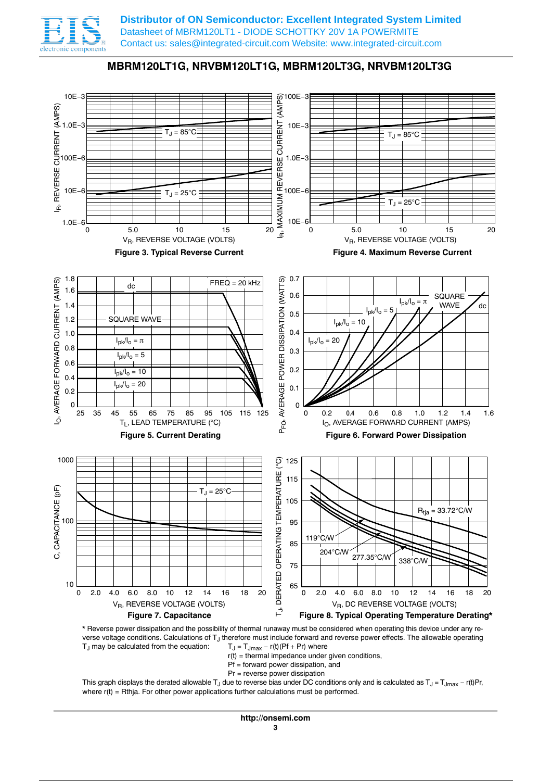

**Distributor of ON Semiconductor: Excellent Integrated System Limited** Datasheet of MBRM120LT1 - DIODE SCHOTTKY 20V 1A POWERMITE Contact us: sales@integrated-circuit.com Website: www.integrated-circuit.com







- $r(t)$  = thermal impedance under given conditions,
- $Pf =$  forward power dissipation, and
- Pr = reverse power dissipation

This graph displays the derated allowable T<sub>J</sub> due to reverse bias under DC conditions only and is calculated as T<sub>J</sub> = T<sub>Jmax</sub> − r(t)Pr, where  $r(t) = Rth$  For other power applications further calculations must be performed.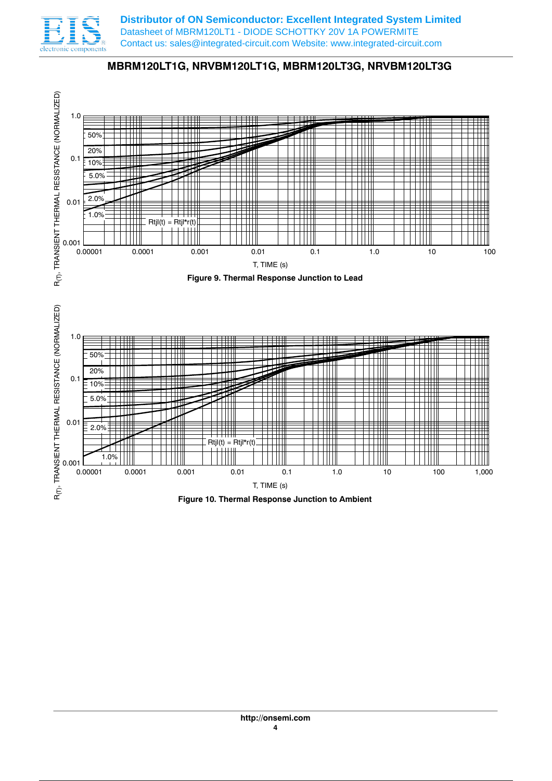

**Distributor of ON Semiconductor: Excellent Integrated System Limited** Datasheet of MBRM120LT1 - DIODE SCHOTTKY 20V 1A POWERMITE Contact us: sales@integrated-circuit.com Website: www.integrated-circuit.com